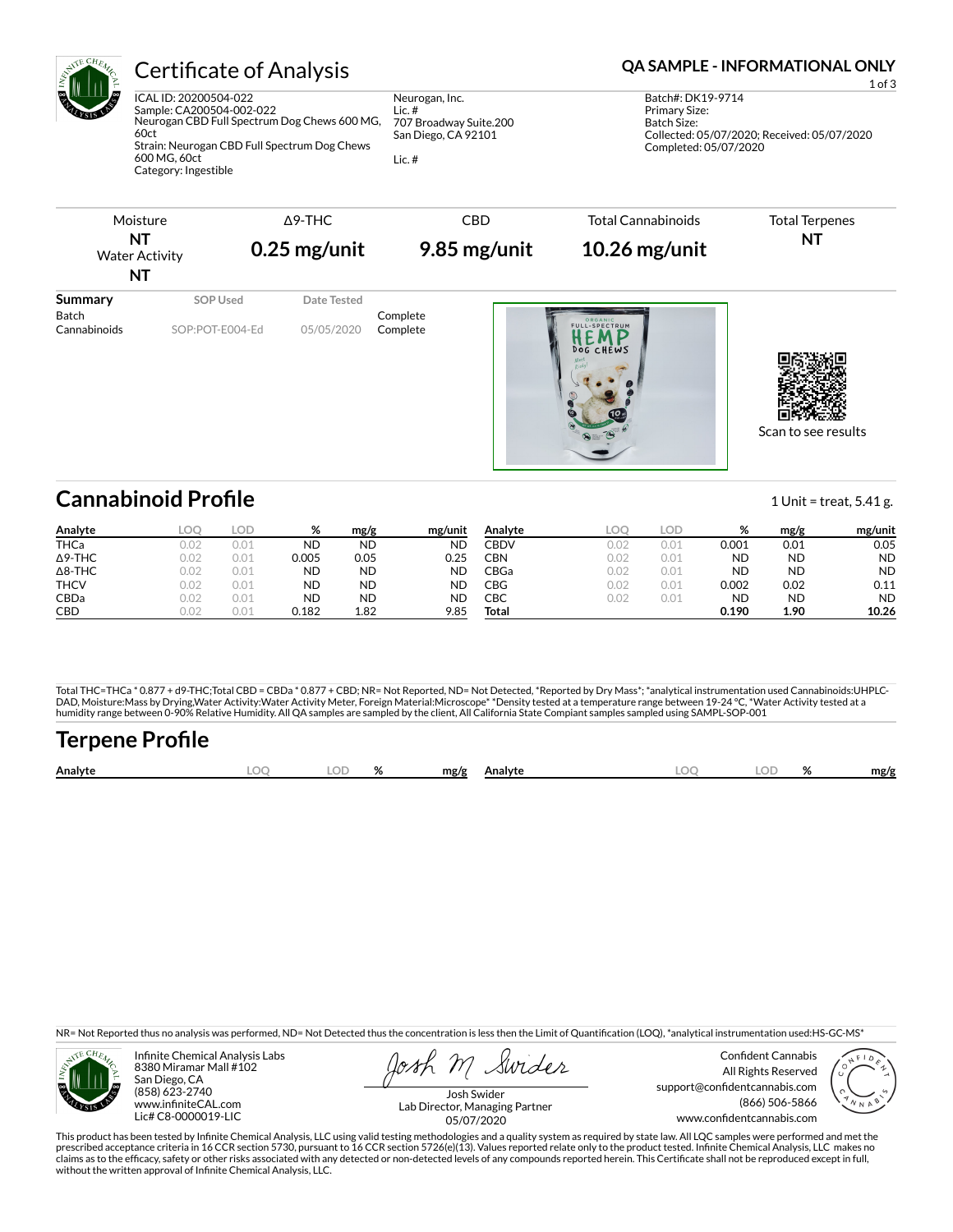

## Certificate of Analysis **Certificate of Analysis QA SAMPLE - INFORMATIONAL ONLY**

ICAL ID: 20200504-022 Sample: CA200504-002-022 Neurogan CBD Full Spectrum Dog Chews 600 MG, 60ct Strain: Neurogan CBD Full Spectrum Dog Chews 600 MG, 60ct Category: Ingestible

Neurogan, Inc. Lic. # 707 Broadway Suite.200 San Diego, CA 92101

Lic. #

1 of 3 Batch#: DK19-9714 Primary Size: Batch Size: Collected: 05/07/2020; Received: 05/07/2020 Completed: 05/07/2020



# **Cannabinoid Profile** 2012 1 Unit = treat, 5.41 g.

**Analyte LOQ LOD % mg/g mg/unit** THCa 0.02 0.01 ND ND ND Δ9-THC 0.02 0.01 0.005 0.05 0.25 Δ8-THC 0.02 0.01 ND ND ND THCV 0.02 0.01 ND ND ND CBDa 0.02 0.01 ND ND ND CBD 0.02 0.01 0.182 1.82 9.85 **Analyte LOQ LOD % mg/g mg/unit** CBDV 0.02 0.01 0.001 0.01 0.05 CBN 0.02 0.01 ND ND ND CBGa 0.02 0.01 ND ND ND CBG 0.02 0.01 0.002 0.02 0.11 CBC 0.02 0.01 ND ND ND **Total 0.190 1.90 10.26**

Total THC=THCa \* 0.877 + d9-THC;Total CBD = CBDa \* 0.877 + CBD; NR= Not Reported, ND= Not Detected, \*Reported by Dry Mass\*; \*analytical instrumentation used Cannabinoids:UHPLC-DAD, Moisture:Mass by Drying,Water Activity:Water Activity Meter, Foreign Material:Microscope\* \*Density tested at a temperature range between 19-24 °C, \*Water Activity tested at a<br>humidity range between 0-90% Relative Humi

# **Terpene Pro×le**

| Analyte | ററ | $\cap$<br>. | $\mathbf{a}$ | mg/g | Analvte | ∩C | 01 | mg/f |
|---------|----|-------------|--------------|------|---------|----|----|------|
|         |    |             |              |      |         |    |    |      |

NR= Not Reported thus no analysis was performed, ND= Not Detected thus the concentration is less then the Limit of Quantification (LOQ), \*analytical instrumentation used:HS-GC-MS\*



Infinite Chemical Analysis Labs 8380 Miramar Mall #102 San Diego, CA (858) 623-2740 www.infiniteCAL.com Lic# C8-0000019-LIC

Swides

Confident Cannabis All Rights Reserved support@confidentcannabis.com (866) 506-5866 www.confidentcannabis.com



Josh Swider Lab Director, Managing Partner 05/07/2020

This product has been tested by Infinite Chemical Analysis, LLC using valid testing methodologies and a quality system as required by state law. All LQC samples were performed and met the prescribed acceptance criteria in 16 CCR section 5730, pursuant to 16 CCR section 5726(e)(13). Values reported relate only to the product tested. Infinite Chemical Analysis, LLC makes no<br>claims as to the efficacy, safety o without the written approval of Infinite Chemical Analysis, LLC.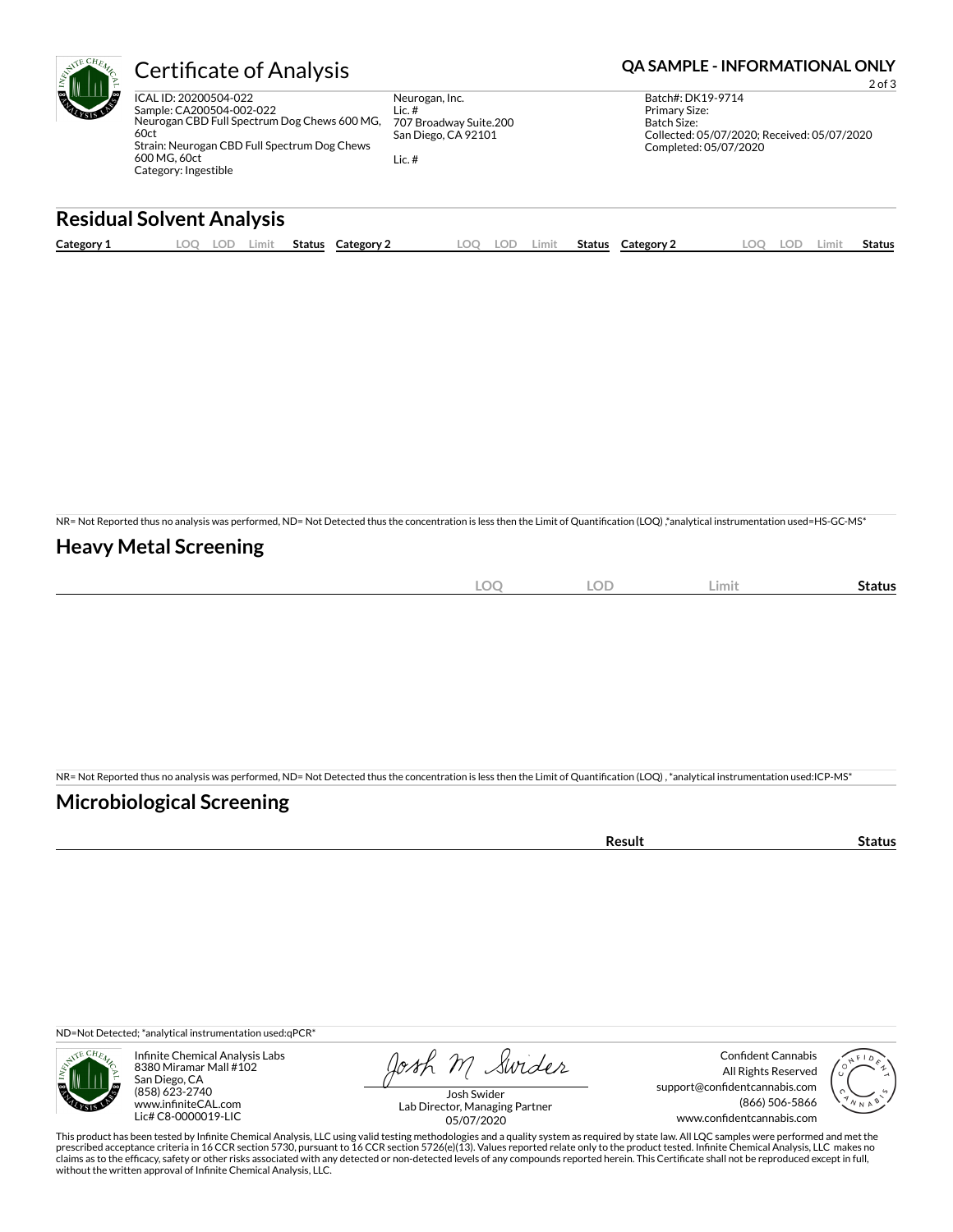| <b>Certificate of Analysis</b>                                                                                                                                                                    |                                                                                    | <b>QA SAMPLE - INFORMATIONAL ONLY</b><br>$2$ of $3$                                                                              |
|---------------------------------------------------------------------------------------------------------------------------------------------------------------------------------------------------|------------------------------------------------------------------------------------|----------------------------------------------------------------------------------------------------------------------------------|
| ICAL ID: 20200504-022<br>Sample: CA200504-002-022<br>Neurogan CBD Full Spectrum Dog Chews 600 MG,<br>60ct<br>Strain: Neurogan CBD Full Spectrum Dog Chews<br>600 MG, 60ct<br>Category: Ingestible | Neurogan, Inc.<br>Lic. #<br>707 Broadway Suite.200<br>San Diego, CA 92101<br>Lic.# | Batch#: DK19-9714<br><b>Primary Size:</b><br>Batch Size:<br>Collected: 05/07/2020; Received: 05/07/2020<br>Completed: 05/07/2020 |

#### **Residual Solvent Analysis**

| Category 1 | .000<br>w | LOD | Limit | Status | Category | LOO | LOD | ∟imit | <b>Status</b> | Category 2 | .OC | LOD | ∟imit | Status |
|------------|-----------|-----|-------|--------|----------|-----|-----|-------|---------------|------------|-----|-----|-------|--------|
|            |           |     |       |        |          |     |     |       |               |            |     |     |       |        |

NR= Not Reported thus no analysis was performed, ND= Not Detected thus the concentration is less then the Limit of Quantification (LOQ),\*analytical instrumentation used=HS-GC-MS\*

#### **Heavy Metal Screening**

| $\bigcap$<br>$ \sim$<br>$\sim$ | <b>LOD</b> | Limit | Status |
|--------------------------------|------------|-------|--------|
|                                |            |       |        |

NR= Not Reported thus no analysis was performed, ND= Not Detected thus the concentration is less then the Limit of Quantification (LOQ) , \*analytical instrumentation used:ICP-MS\*

#### **Microbiological Screening**

|  | เนร<br>$\sim$ $\sim$ $\sim$ |
|--|-----------------------------|
|  |                             |

ND=Not Detected; \*analytical instrumentation used:qPCR\*



Infinite Chemical Analysis Labs 8380 Miramar Mall #102 San Diego, CA (858) 623-2740 www.infiniteCAL.com Lic# C8-0000019-LIC

Josh M Swider

Confident Cannabis All Rights Reserved support@confidentcannabis.com (866) 506-5866 www.confidentcannabis.com



Josh Swider Lab Director, Managing Partner 05/07/2020

This product has been tested by Infinite Chemical Analysis, LLC using valid testing methodologies and a quality system as required by state law. All LQC samples were performed and met the<br>prescribed acceptance criteria in without the written approval of Infinite Chemical Analysis, LLC.